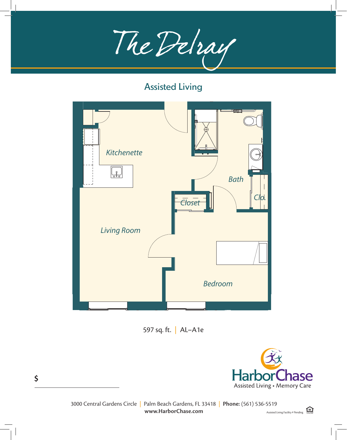The Delray



597 sq. ft. | AL–A1e

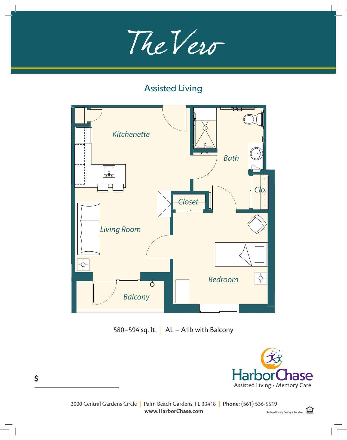

Assisted Living Unit - One Bedroom



 $X \in \mathcal{X} \times \mathcal{X}$  , and  $X \in \mathcal{X}$  , and  $X \in \mathcal{X}$  , and  $X \in \mathcal{X}$ 580–594 sq. ft.  $|$  AL – A1b with Balcony



 $\Box$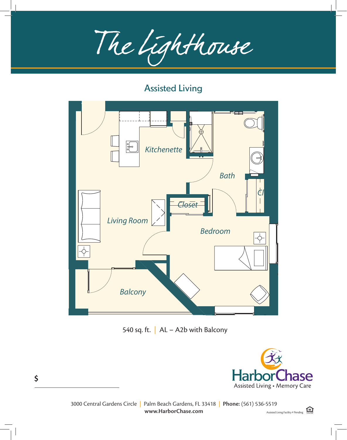The Lighthouse The Lighthouse

 $\mathcal{A}_\mathcal{A}$  assisted Living Unit - One Bedroom  $\mathcal{A}_\mathcal{A}$ 



540 sq. ft.  $\vert$  AL – A2b with Balcony



 $\left\vert \cdot\right\vert$   $\left\vert \cdot\right\vert$   $\left\vert \cdot\right\vert$   $\left\vert \cdot\right\vert$   $\left\vert \cdot\right\vert$   $\left\vert \cdot\right\vert$   $\left\vert \cdot\right\vert$   $\left\vert \cdot\right\vert$   $\left\vert \cdot\right\vert$   $\left\vert \cdot\right\vert$   $\left\vert \cdot\right\vert$   $\left\vert \cdot\right\vert$   $\left\vert \cdot\right\vert$   $\left\vert \cdot\right\vert$   $\left\vert \cdot\right\vert$   $\left\vert \cdot\right\vert$   $\left\vert \cdot\right\vert$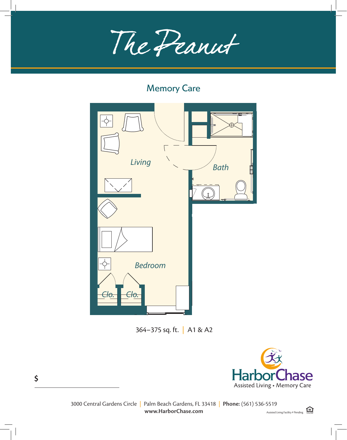The Donnet The Peanut

#### Memory Care

Memory Care Unit - One Bedroom



364–375 sq. ft. | A1 & A2

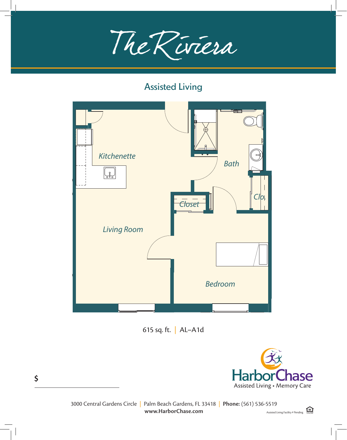



615 sq. ft. | AL–A1d



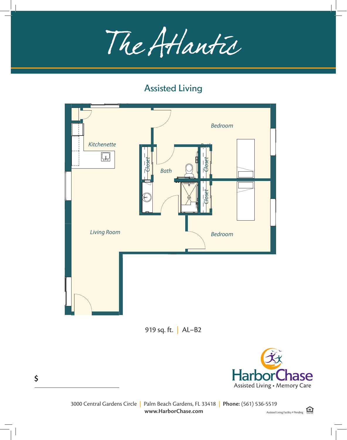The Atlantic

i<br>L





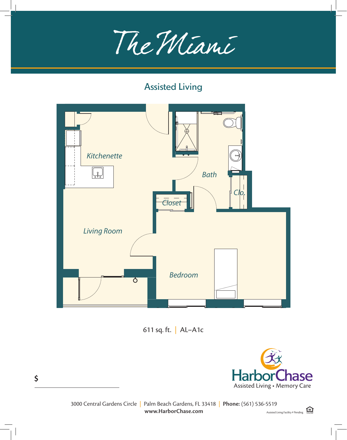



611 sq. ft. | AL–A1c

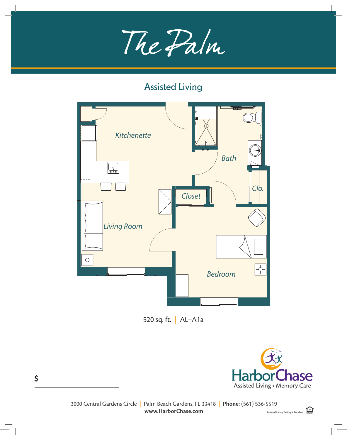The Palm The Palm

#### Assisted Living Assisted Living Unit - One Bedroom



520 sq. ft. | AL–A1a

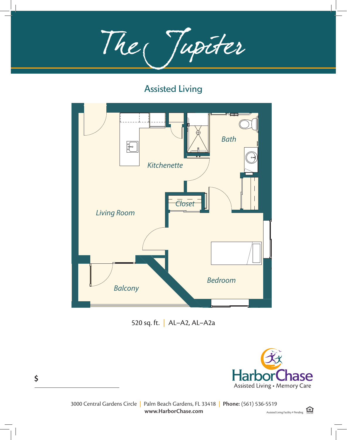The Jupiter



520 sq. ft. | AL–A2, AL–A2a

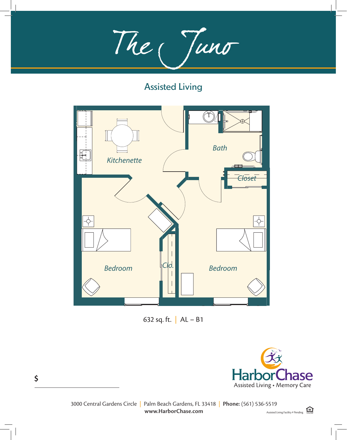The Juno The Juno

#### Assisted Living  $\Delta$ ssisted Living  $\Delta$



632 sq. ft.  $|$  AL – B1

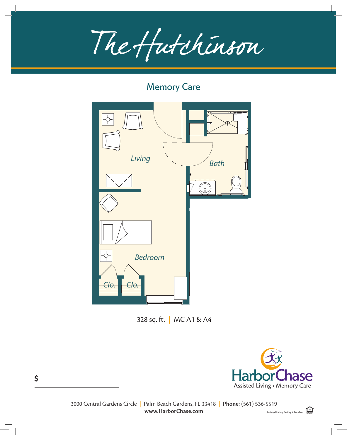The Hutchinson The Hutching

#### Memory Care

Memory Care Unit - One Bedroom



328 sq. ft. | MC A1 & A4



HarborChase of Palm Beach Gardens, Palm Beach Gardens, Florida | Phone: (555) 555-5555 | Fax: (555) 555-5555